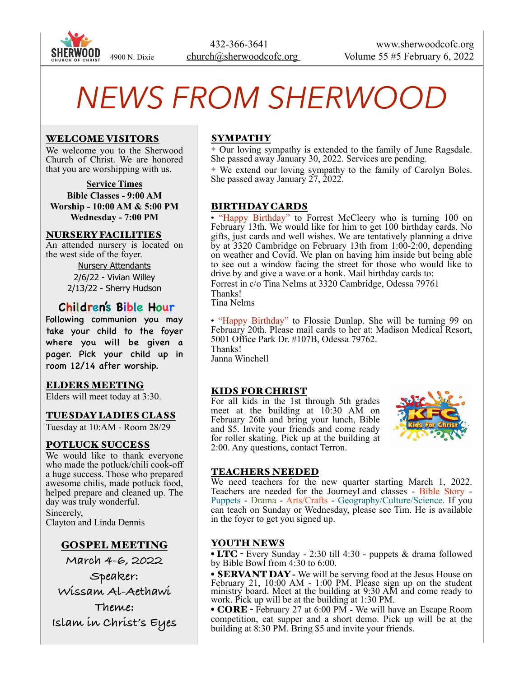

# *NEWS FROM SHERWOOD*

#### WELCOME VISITORS

We welcome you to the Sherwood Church of Christ. We are honored that you are worshipping with us.

**Service Times Bible Classes - 9:00 AM Worship - 10:00 AM & 5:00 PM Wednesday - 7:00 PM**

#### NURSERY FACILITIES

An attended nursery is located on the west side of the foyer.

> Nursery Attendants 2/6/22 - Vivian Willey 2/13/22 - Sherry Hudson

## **Children's Bible Hour**

Following communion you may take your child to the foyer where you will be given a pager. Pick your child up in room 12/14 after worship.

#### ELDERS MEETING

Elders will meet today at 3:30.

#### TUESDAY LADIES CLASS

Tuesday at 10:AM - Room 28/29

#### POTLUCK SUCCESS

We would like to thank everyone who made the potluck/chili cook-off a huge success. Those who prepared awesome chilis, made potluck food, helped prepare and cleaned up. The day was truly wonderful. Sincerely, Clayton and Linda Dennis

## GOSPEL MEETING

**March 4-6, 2022**

**Speaker:** 

**Wissam Al-Aethawi**

**Theme: Islam in Christ's Eyes**

## SYMPATHY

✦ Our loving sympathy is extended to the family of June Ragsdale. She passed away January 30, 2022. Services are pending.

✦ We extend our loving sympathy to the family of Carolyn Boles. She passed away January  $27$ ,  $2022$ .

#### BIRTHDAY CARDS

• "Happy Birthday" to Forrest McCleery who is turning 100 on February 13th. We would like for him to get 100 birthday cards. No gifts, just cards and well wishes. We are tentatively planning a drive by at 3320 Cambridge on February 13th from 1:00-2:00, depending on weather and Covid. We plan on having him inside but being able to see out a window facing the street for those who would like to drive by and give a wave or a honk. Mail birthday cards to: Forrest in c/o Tina Nelms at 3320 Cambridge, Odessa 79761 Thanks! Tina Nelms

• "Happy Birthday" to Flossie Dunlap. She will be turning 99 on February 20th. Please mail cards to her at: Madison Medical Resort, 5001 Office Park Dr. #107B, Odessa 79762. Thanks!

Janna Winchell

#### KIDS FOR CHRIST

For all kids in the 1st through 5th grades meet at the building at 10:30 AM on February 26th and bring your lunch, Bible and \$5. Invite your friends and come ready for roller skating. Pick up at the building at 2:00. Any questions, contact Terron.



#### TEACHERS NEEDED

We need teachers for the new quarter starting March 1, 2022. Teachers are needed for the JourneyLand classes - Bible Story - Puppets - Drama - Arts/Crafts - Geography/Culture/Science. If you can teach on Sunday or Wednesday, please see Tim. He is available in the foyer to get you signed up.

#### YOUTH NEWS

• LTC - Every Sunday - 2:30 till 4:30 - puppets & drama followed by Bible Bowl from 4:30 to 6:00.

• SERVANT DAY **-** We will be serving food at the Jesus House on February 21, 10:00 AM - 1:00 PM. Please sign up on the student ministry board. Meet at the building at 9:30 AM and come ready to work. Pick up will be at the building at 1:30 PM.

• **CORE** - February 27 at 6:00 PM - We will have an Escape Room competition, eat supper and a short demo. Pick up will be at the building at 8:30 PM. Bring \$5 and invite your friends.